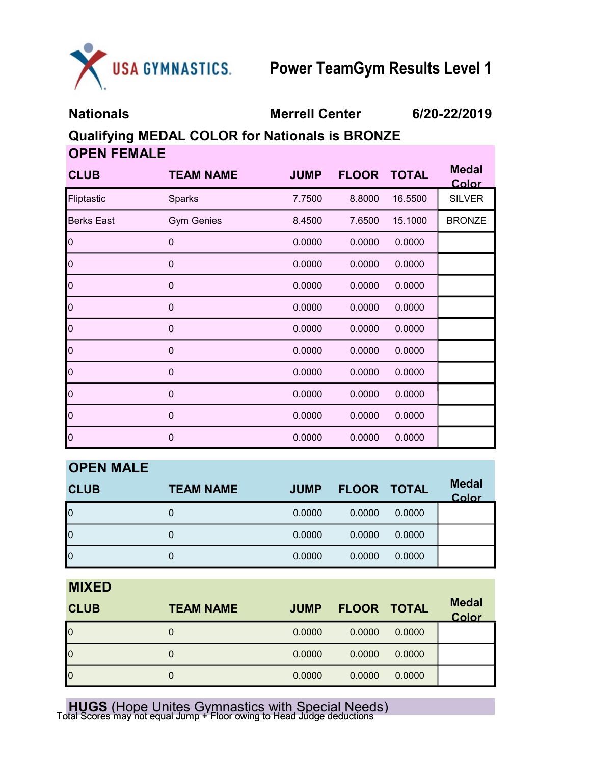

Nationals Merrell Center 6/20-22/2019

Qualifying MEDAL COLOR for Nationals is BRONZE OPEN FEMALE

| <b>CLUB</b>       | <b>TEAM NAME</b>  | <b>JUMP</b> | <b>FLOOR</b> | <b>TOTAL</b> | <b>Medal</b><br>Color |
|-------------------|-------------------|-------------|--------------|--------------|-----------------------|
| Fliptastic        | Sparks            | 7.7500      | 8.8000       | 16.5500      | <b>SILVER</b>         |
| <b>Berks East</b> | <b>Gym Genies</b> | 8.4500      | 7.6500       | 15.1000      | <b>BRONZE</b>         |
| $\overline{0}$    | $\mathbf 0$       | 0.0000      | 0.0000       | 0.0000       |                       |
| $\overline{0}$    | $\mathbf 0$       | 0.0000      | 0.0000       | 0.0000       |                       |
| 0                 | $\mathbf 0$       | 0.0000      | 0.0000       | 0.0000       |                       |
| $\overline{0}$    | $\mathbf 0$       | 0.0000      | 0.0000       | 0.0000       |                       |
| $\overline{0}$    | $\mathbf 0$       | 0.0000      | 0.0000       | 0.0000       |                       |
| $\overline{0}$    | $\mathbf 0$       | 0.0000      | 0.0000       | 0.0000       |                       |
| $\overline{0}$    | $\mathbf 0$       | 0.0000      | 0.0000       | 0.0000       |                       |
| $\overline{0}$    | $\mathbf 0$       | 0.0000      | 0.0000       | 0.0000       |                       |
| $\overline{0}$    | $\mathbf 0$       | 0.0000      | 0.0000       | 0.0000       |                       |
| $\vert 0 \vert$   | $\mathbf 0$       | 0.0000      | 0.0000       | 0.0000       |                       |

| <b>OPEN MALE</b>        |                  |             |             |        |                       |
|-------------------------|------------------|-------------|-------------|--------|-----------------------|
| <b>CLUB</b>             | <b>TEAM NAME</b> | <b>JUMP</b> | FLOOR TOTAL |        | <b>Medal</b><br>Color |
| $\overline{0}$          | 0                | 0.0000      | 0.0000      | 0.0000 |                       |
| $\overline{0}$          | 0                | 0.0000      | 0.0000      | 0.0000 |                       |
| $\overline{\mathsf{I}}$ | 0                | 0.0000      | 0.0000      | 0.0000 |                       |

MIXED

| <b>CLUB</b>    | <b>TEAM NAME</b> | <b>JUMP</b> | <b>FLOOR TOTAL</b> |        | <b>Medal</b><br>Color |
|----------------|------------------|-------------|--------------------|--------|-----------------------|
| $\overline{0}$ | 0                | 0.0000      | 0.0000             | 0.0000 |                       |
| $\overline{0}$ | 0                | 0.0000      | 0.0000             | 0.0000 |                       |
| $\overline{0}$ | 0                | 0.0000      | 0.0000             | 0.0000 |                       |

**HUGS** (Hope Unites Gymnastics with Special Needs)<br>Total Scores may not equal Jump + Floor owing to Head Judge deductions